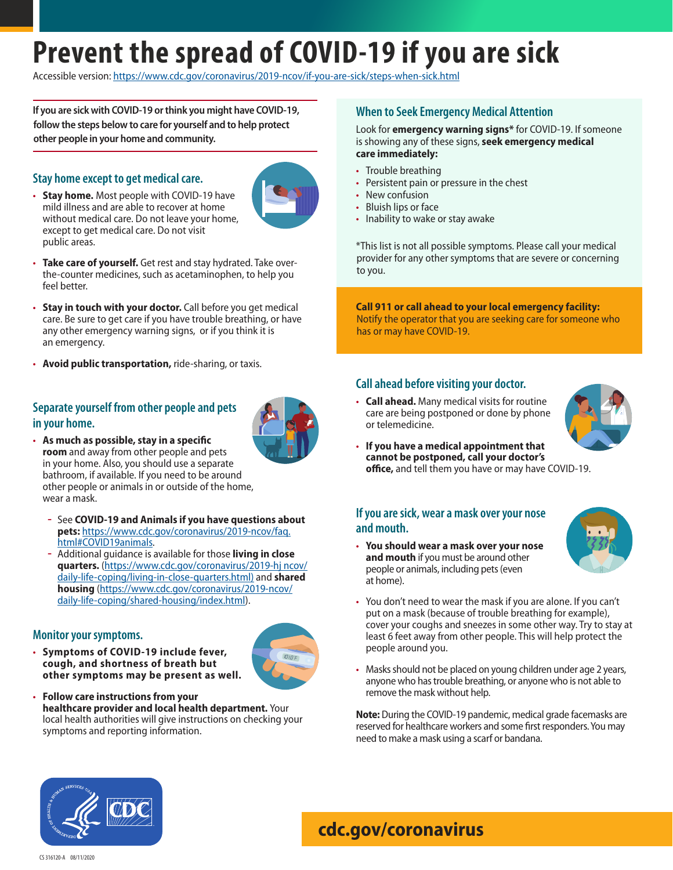# **Prevent the spread of COVID-19 if you are sick**

Accessible version:<https://www.cdc.gov/coronavirus/2019-ncov/if-you-are-sick/steps-when-sick.html>

**If you are sick with COVID-19 or think you might have COVID-19, follow the steps below to care for yourself and to help protect other people in your home and community.**

#### **Stay home except to get medical care.**



- **Stay home.** Most people with COVID-19 have mild illness and are able to recover at home without medical care. Do not leave your home, except to get medical care. Do not visit public areas.
- **Take care of yourself.** Get rest and stay hydrated. Take overthe-counter medicines, such as acetaminophen, to help you feel better.
- **Stay in touch with your doctor.** Call before you get medical care. Be sure to get care if you have trouble breathing, or have any other emergency warning signs, or if you think it is an emergency.
- **Avoid public transportation,** ride-sharing, or taxis.

## **Separate yourself from other people and pets in your home.**



- **As much as possible, stay in a specific room** and away from other people and pets in your home. Also, you should use a separate bathroom, if available. If you need to be around other people or animals in or outside of the home, wear a mask.
	- **ɞ** See **COVID-19 and Animals if you have questions about pets:** [https://www.cdc.gov/coronavirus/2019-ncov/faq.](https://www.cdc.gov/coronavirus/2019-ncov/faq.html#COVID19animals) [html#COVID19animals.](https://www.cdc.gov/coronavirus/2019-ncov/faq.html#COVID19animals)
	- **ɞ** Additional guidance is available for those **living in close quarters.** [\(https://www.cdc.gov/coronavirus/2019-hj ncov/](https://www.cdc.gov/coronavirus/2019-ncov/daily-life-coping/living-in-close-quarters.html)) [daily-life-coping/living-in-close-quarters.html\)](https://www.cdc.gov/coronavirus/2019-ncov/daily-life-coping/living-in-close-quarters.html)) and **shared housing** ([https://www.cdc.gov/coronavirus/2019-ncov/](https://www.cdc.gov/coronavirus/2019-ncov/daily-life-coping/shared-housing/index.html) [daily-life-coping/shared-housing/index.html](https://www.cdc.gov/coronavirus/2019-ncov/daily-life-coping/shared-housing/index.html)).

#### **Monitor your symptoms.**

• **Symptoms of COVID-19 include fever, cough, and shortness of breath but other symptoms may be present as well.**



• **Follow care instructions from your healthcare provider and local health department.** Your local health authorities will give instructions on checking your symptoms and reporting information.

## **When to Seek Emergency Medical Attention**

#### Look for **emergency warning signs\*** for COVID-19. If someone is showing any of these signs, **seek emergency medical care immediately:**

- Trouble breathing
- Persistent pain or pressure in the chest
- New confusion
- Bluish lips or face
- Inability to wake or stay awake

\*This list is not all possible symptoms. Please call your medical provider for any other symptoms that are severe or concerning to you.

**Call 911 or call ahead to your local emergency facility:**  Notify the operator that you are seeking care for someone who has or may have COVID-19.

## **Call ahead before visiting your doctor.**

• **Call ahead.** Many medical visits for routine care are being postponed or done by phone or telemedicine.



• **If you have a medical appointment that cannot be postponed, call your doctor's office,** and tell them you have or may have COVID-19.

#### **If you are sick, wear a mask over your nose and mouth.**

• **You should wear a mask over your nose and mouth** if you must be around other people or animals, including pets (even at home).



- You don't need to wear the mask if you are alone. If you can't put on a mask (because of trouble breathing for example), cover your coughs and sneezes in some other way. Try to stay at least 6 feet away from other people. This will help protect the people around you.
- Masks should not be placed on young children under age 2 years, anyone who has trouble breathing, or anyone who is not able to remove the mask without help.

**Note:** During the COVID-19 pandemic, medical grade facemasks are reserved for healthcare workers and some first responders. You may need to make a mask using a scarf or bandana.



# **[cdc.gov/](http://cdc.gov/COVID19)coronavirus**